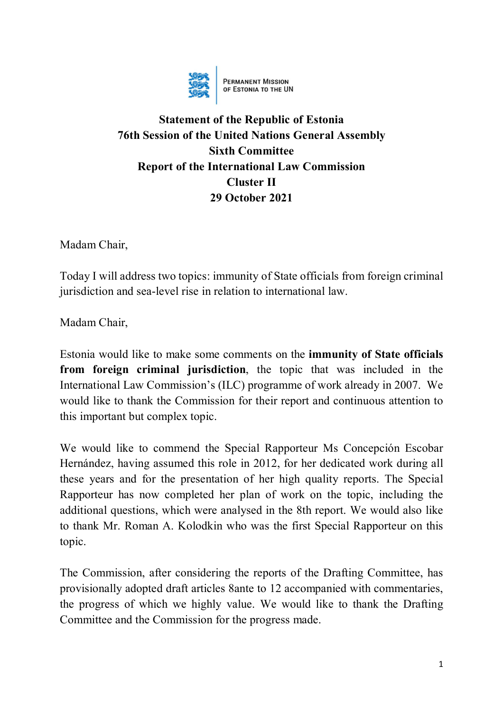

**PERMANENT MISSION**<br>OF ESTONIA TO THE UN

## **Statement of the Republic of Estonia 76th Session of the United Nations General Assembly Sixth Committee Report of the International Law Commission Cluster II 29 October 2021**

Madam Chair,

Today I will address two topics: immunity of State officials from foreign criminal jurisdiction and sea-level rise in relation to international law.

Madam Chair,

Estonia would like to make some comments on the **immunity of State officials from foreign criminal jurisdiction**, the topic that was included in the International Law Commission's (ILC) programme of work already in 2007. We would like to thank the Commission for their report and continuous attention to this important but complex topic.

We would like to commend the Special Rapporteur Ms Concepción Escobar Hernández, having assumed this role in 2012, for her dedicated work during all these years and for the presentation of her high quality reports. The Special Rapporteur has now completed her plan of work on the topic, including the additional questions, which were analysed in the 8th report. We would also like to thank Mr. Roman A. Kolodkin who was the first Special Rapporteur on this topic.

The Commission, after considering the reports of the Drafting Committee, has provisionally adopted draft articles 8ante to 12 accompanied with commentaries, the progress of which we highly value. We would like to thank the Drafting Committee and the Commission for the progress made.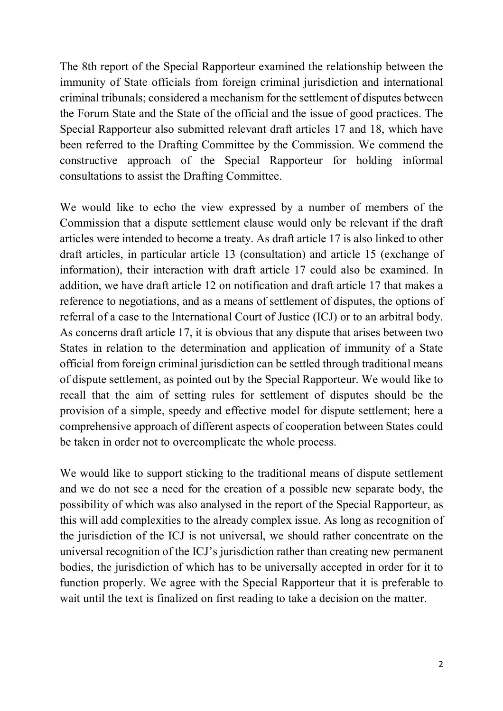The 8th report of the Special Rapporteur examined the relationship between the immunity of State officials from foreign criminal jurisdiction and international criminal tribunals; considered a mechanism for the settlement of disputes between the Forum State and the State of the official and the issue of good practices. The Special Rapporteur also submitted relevant draft articles 17 and 18, which have been referred to the Drafting Committee by the Commission. We commend the constructive approach of the Special Rapporteur for holding informal consultations to assist the Drafting Committee.

We would like to echo the view expressed by a number of members of the Commission that a dispute settlement clause would only be relevant if the draft articles were intended to become a treaty. As draft article 17 is also linked to other draft articles, in particular article 13 (consultation) and article 15 (exchange of information), their interaction with draft article 17 could also be examined. In addition, we have draft article 12 on notification and draft article 17 that makes a reference to negotiations, and as a means of settlement of disputes, the options of referral of a case to the International Court of Justice (ICJ) or to an arbitral body. As concerns draft article 17, it is obvious that any dispute that arises between two States in relation to the determination and application of immunity of a State official from foreign criminal jurisdiction can be settled through traditional means of dispute settlement, as pointed out by the Special Rapporteur. We would like to recall that the aim of setting rules for settlement of disputes should be the provision of a simple, speedy and effective model for dispute settlement; here a comprehensive approach of different aspects of cooperation between States could be taken in order not to overcomplicate the whole process.

We would like to support sticking to the traditional means of dispute settlement and we do not see a need for the creation of a possible new separate body, the possibility of which was also analysed in the report of the Special Rapporteur, as this will add complexities to the already complex issue. As long as recognition of the jurisdiction of the ICJ is not universal, we should rather concentrate on the universal recognition of the ICJ's jurisdiction rather than creating new permanent bodies, the jurisdiction of which has to be universally accepted in order for it to function properly. We agree with the Special Rapporteur that it is preferable to wait until the text is finalized on first reading to take a decision on the matter.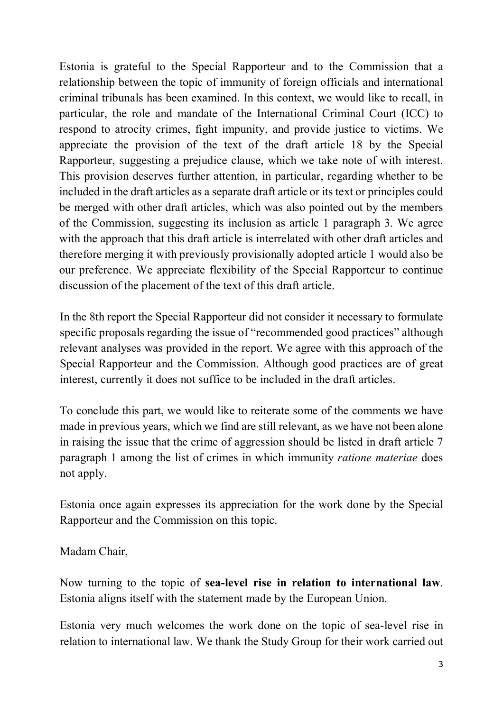Estonia is grateful to the Special Rapporteur and to the Commission that a relationship between the topic of immunity of foreign officials and international criminal tribunals has been examined. In this context, we would like to recall, in particular, the role and mandate of the International Criminal Court (ICC) to respond to atrocity crimes, fight impunity, and provide justice to victims. We appreciate the provision of the text of the draft article 18 by the Special Rapporteur, suggesting a prejudice clause, which we take note of with interest. This provision deserves further attention, in particular, regarding whether to be included in the draft articles as a separate draft article or its text or principles could be merged with other draft articles, which was also pointed out by the members of the Commission, suggesting its inclusion as article 1 paragraph 3. We agree with the approach that this draft article is interrelated with other draft articles and therefore merging it with previously provisionally adopted article 1 would also be our preference. We appreciate flexibility of the Special Rapporteur to continue discussion of the placement of the text of this draft article.

In the 8th report the Special Rapporteur did not consider it necessary to formulate specific proposals regarding the issue of "recommended good practices" although relevant analyses was provided in the report. We agree with this approach of the Special Rapporteur and the Commission. Although good practices are of great interest, currently it does not suffice to be included in the draft articles.

To conclude this part, we would like to reiterate some of the comments we have made in previous years, which we find are still relevant, as we have not been alone in raising the issue that the crime of aggression should be listed in draft article 7 paragraph 1 among the list of crimes in which immunity *ratione materiae* does not apply.

Estonia once again expresses its appreciation for the work done by the Special Rapporteur and the Commission on this topic.

Madam Chair,

Now turning to the topic of **sea-level rise in relation to international law**. Estonia aligns itself with the statement made by the European Union.

Estonia very much welcomes the work done on the topic of sea-level rise in relation to international law. We thank the Study Group for their work carried out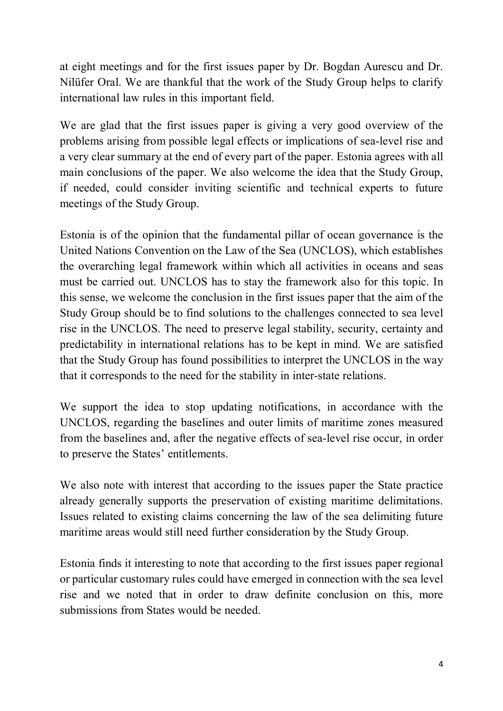at eight meetings and for the first issues paper by Dr. Bogdan Aurescu and Dr. Nilüfer Oral. We are thankful that the work of the Study Group helps to clarify international law rules in this important field.

We are glad that the first issues paper is giving a very good overview of the problems arising from possible legal effects or implications of sea-level rise and a very clear summary at the end of every part of the paper. Estonia agrees with all main conclusions of the paper. We also welcome the idea that the Study Group, if needed, could consider inviting scientific and technical experts to future meetings of the Study Group.

Estonia is of the opinion that the fundamental pillar of ocean governance is the United Nations Convention on the Law of the Sea (UNCLOS), which establishes the overarching legal framework within which all activities in oceans and seas must be carried out. UNCLOS has to stay the framework also for this topic. In this sense, we welcome the conclusion in the first issues paper that the aim of the Study Group should be to find solutions to the challenges connected to sea level rise in the UNCLOS. The need to preserve legal stability, security, certainty and predictability in international relations has to be kept in mind. We are satisfied that the Study Group has found possibilities to interpret the UNCLOS in the way that it corresponds to the need for the stability in inter-state relations.

We support the idea to stop updating notifications, in accordance with the UNCLOS, regarding the baselines and outer limits of maritime zones measured from the baselines and, after the negative effects of sea-level rise occur, in order to preserve the States' entitlements.

We also note with interest that according to the issues paper the State practice already generally supports the preservation of existing maritime delimitations. Issues related to existing claims concerning the law of the sea delimiting future maritime areas would still need further consideration by the Study Group.

Estonia finds it interesting to note that according to the first issues paper regional or particular customary rules could have emerged in connection with the sea level rise and we noted that in order to draw definite conclusion on this, more submissions from States would be needed.